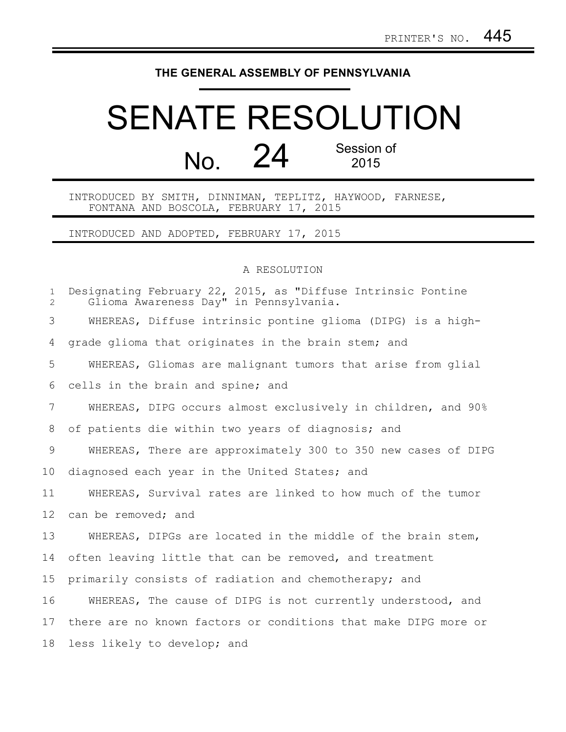## **THE GENERAL ASSEMBLY OF PENNSYLVANIA**

## SENATE RESOLUTION No. 24 Session of 2015

INTRODUCED BY SMITH, DINNIMAN, TEPLITZ, HAYWOOD, FARNESE, FONTANA AND BOSCOLA, FEBRUARY 17, 2015

INTRODUCED AND ADOPTED, FEBRUARY 17, 2015

## A RESOLUTION

| $\mathbf{1}$<br>$\overline{2}$ | Designating February 22, 2015, as "Diffuse Intrinsic Pontine<br>Glioma Awareness Day" in Pennsylvania. |
|--------------------------------|--------------------------------------------------------------------------------------------------------|
| 3                              | WHEREAS, Diffuse intrinsic pontine glioma (DIPG) is a high-                                            |
| 4                              | grade glioma that originates in the brain stem; and                                                    |
| 5                              | WHEREAS, Gliomas are malignant tumors that arise from glial                                            |
| 6                              | cells in the brain and spine; and                                                                      |
| $7\overline{ }$                | WHEREAS, DIPG occurs almost exclusively in children, and 90%                                           |
| 8                              | of patients die within two years of diagnosis; and                                                     |
| 9                              | WHEREAS, There are approximately 300 to 350 new cases of DIPG                                          |
| 10                             | diagnosed each year in the United States; and                                                          |
| 11                             | WHEREAS, Survival rates are linked to how much of the tumor                                            |
| 12                             | can be removed; and                                                                                    |
| 13                             | WHEREAS, DIPGs are located in the middle of the brain stem,                                            |
| 14                             | often leaving little that can be removed, and treatment                                                |
| 15                             | primarily consists of radiation and chemotherapy; and                                                  |
| 16                             | WHEREAS, The cause of DIPG is not currently understood, and                                            |
| 17                             | there are no known factors or conditions that make DIPG more or                                        |
| 18                             | less likely to develop; and                                                                            |